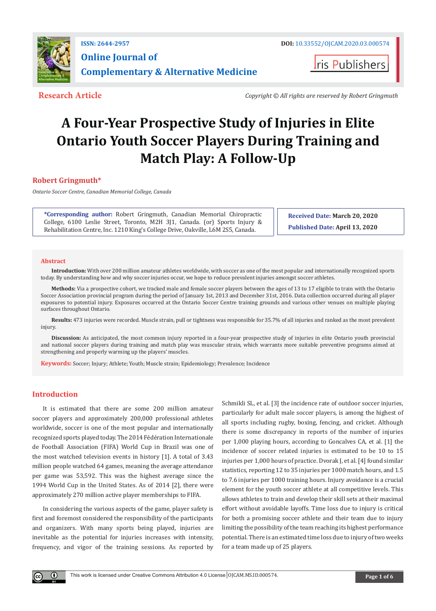

**I**ris Publishers

**Research Article** *Copyright © All rights are reserved by Robert Gringmuth*

# **A Four-Year Prospective Study of Injuries in Elite Ontario Youth Soccer Players During Training and Match Play: A Follow-Up**

# **Robert Gringmuth\***

*Ontario Soccer Centre, Canadian Memorial College, Canada*

**\*Corresponding author:** Robert Gringmuth, Canadian Memorial Chiropractic College, 6100 Leslie Street, Toronto, M2H 3J1, Canada. (or) Sports Injury & Rehabilitation Centre, Inc. 1210 King's College Drive, Oakville, L6M 2S5, Canada.

**Received Date: March 20, 2020**

**Published Date: April 13, 2020**

#### **Abstract**

**Introduction:** With over 200 million amateur athletes worldwide, with soccer as one of the most popular and internationally recognized sports today. By understanding how and why soccer injuries occur, we hope to reduce prevalent injuries amongst soccer athletes.

**Methods:** Via a prospective cohort, we tracked male and female soccer players between the ages of 13 to 17 eligible to train with the Ontario Soccer Association provincial program during the period of January 1st, 2013 and December 31st, 2016. Data collection occurred during all player exposures to potential injury. Exposures occurred at the Ontario Soccer Centre training grounds and various other venues on multiple playing surfaces throughout Ontario.

**Results:** 473 injuries were recorded. Muscle strain, pull or tightness was responsible for 35.7% of all injuries and ranked as the most prevalent injury.

**Discussion:** As anticipated, the most common injury reported in a four-year prospective study of injuries in elite Ontario youth provincial and national soccer players during training and match play was muscular strain, which warrants more suitable preventive programs aimed at strengthening and properly warming up the players' muscles.

**Keywords:** Soccer; Injury; Athlete; Youth; Muscle strain; Epidemiology; Prevalence; Incidence

# **Introduction**

 $\left( \mathbf{r} \right)$ 

It is estimated that there are some 200 million amateur soccer players and approximately 200,000 professional athletes worldwide, soccer is one of the most popular and internationally recognized sports played today. The 2014 Fédération Internationale de Football Association (FIFA) World Cup in Brazil was one of the most watched television events in history [1]. A total of 3.43 million people watched 64 games, meaning the average attendance per game was 53,592. This was the highest average since the 1994 World Cup in the United States. As of 2014 [2], there were approximately 270 million active player memberships to FIFA.

In considering the various aspects of the game, player safety is first and foremost considered the responsibility of the participants and organizers. With many sports being played, injuries are inevitable as the potential for injuries increases with intensity, frequency, and vigor of the training sessions. As reported by

Schmikli SL, et al. [3] the incidence rate of outdoor soccer injuries, particularly for adult male soccer players, is among the highest of all sports including rugby, boxing, fencing, and cricket. Although there is some discrepancy in reports of the number of injuries per 1,000 playing hours, according to Goncalves CA, et al. [1] the incidence of soccer related injuries is estimated to be 10 to 15 injuries per 1,000 hours of practice. Dvorak J, et al. [4] found similar statistics, reporting 12 to 35 injuries per 1000 match hours, and 1.5 to 7.6 injuries per 1000 training hours. Injury avoidance is a crucial element for the youth soccer athlete at all competitive levels. This allows athletes to train and develop their skill sets at their maximal effort without avoidable layoffs. Time loss due to injury is critical for both a promising soccer athlete and their team due to injury limiting the possibility of the team reaching its highest performance potential. There is an estimated time loss due to injury of two weeks for a team made up of 25 players.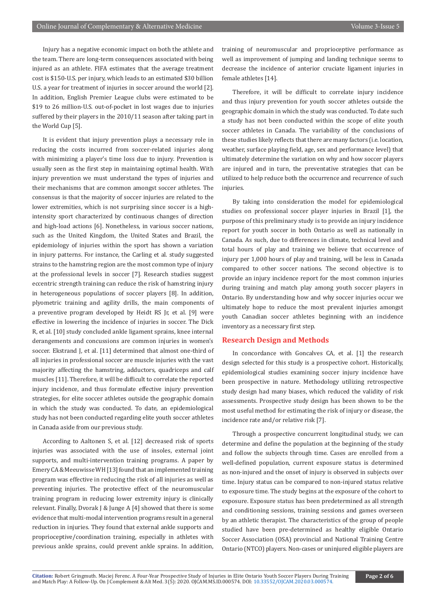Injury has a negative economic impact on both the athlete and the team. There are long-term consequences associated with being injured as an athlete. FIFA estimates that the average treatment cost is \$150-U.S. per injury, which leads to an estimated \$30 billion U.S. a year for treatment of injuries in soccer around the world [2]. In addition, English Premier League clubs were estimated to be \$19 to 26 million-U.S. out-of-pocket in lost wages due to injuries suffered by their players in the 2010/11 season after taking part in the World Cup [5].

It is evident that injury prevention plays a necessary role in reducing the costs incurred from soccer-related injuries along with minimizing a player's time loss due to injury. Prevention is usually seen as the first step in maintaining optimal health. With injury prevention we must understand the types of injuries and their mechanisms that are common amongst soccer athletes. The consensus is that the majority of soccer injuries are related to the lower extremities, which is not surprising since soccer is a highintensity sport characterized by continuous changes of direction and high-load actions [6]. Nonetheless, in various soccer nations, such as the United Kingdom, the United States and Brazil, the epidemiology of injuries within the sport has shown a variation in injury patterns. For instance, the Carling et al. study suggested strains to the hamstring region are the most common type of injury at the professional levels in soccer [7]. Research studies suggest eccentric strength training can reduce the risk of hamstring injury in heterogeneous populations of soccer players [8]. In addition, plyometric training and agility drills, the main components of a preventive program developed by Heidt RS Jr, et al. [9] were effective in lowering the incidence of injuries in soccer. The Dick R, et al. [10] study concluded ankle ligament sprains, knee internal derangements and concussions are common injuries in women's soccer. Ekstrand J, et al. [11] determined that almost one-third of all injuries in professional soccer are muscle injuries with the vast majority affecting the hamstring, adductors, quadriceps and calf muscles [11]. Therefore, it will be difficult to correlate the reported injury incidence, and thus formulate effective injury prevention strategies, for elite soccer athletes outside the geographic domain in which the study was conducted. To date, an epidemiological study has not been conducted regarding elite youth soccer athletes in Canada aside from our previous study.

According to Aaltonen S, et al. [12] decreased risk of sports injuries was associated with the use of insoles, external joint supports, and multi-intervention training programs. A paper by Emery CA & Meeuwisse WH [13] found that an implemented training program was effective in reducing the risk of all injuries as well as preventing injuries. The protective effect of the neuromuscular training program in reducing lower extremity injury is clinically relevant. Finally, Dvorak J & Junge A [4] showed that there is some evidence that multi-modal intervention programs result in a general reduction in injuries. They found that external ankle supports and proprioceptive/coordination training, especially in athletes with previous ankle sprains, could prevent ankle sprains. In addition,

training of neuromuscular and proprioceptive performance as well as improvement of jumping and landing technique seems to decrease the incidence of anterior cruciate ligament injuries in female athletes [14].

Therefore, it will be difficult to correlate injury incidence and thus injury prevention for youth soccer athletes outside the geographic domain in which the study was conducted. To date such a study has not been conducted within the scope of elite youth soccer athletes in Canada. The variability of the conclusions of these studies likely reflects that there are many factors (i.e. location, weather, surface playing field, age, sex and performance level) that ultimately determine the variation on why and how soccer players are injured and in turn, the preventative strategies that can be utilized to help reduce both the occurrence and recurrence of such injuries.

By taking into consideration the model for epidemiological studies on professional soccer player injuries in Brazil [1], the purpose of this preliminary study is to provide an injury incidence report for youth soccer in both Ontario as well as nationally in Canada. As such, due to differences in climate, technical level and total hours of play and training we believe that occurrence of injury per 1,000 hours of play and training, will be less in Canada compared to other soccer nations. The second objective is to provide an injury incidence report for the most common injuries during training and match play among youth soccer players in Ontario. By understanding how and why soccer injuries occur we ultimately hope to reduce the most prevalent injuries amongst youth Canadian soccer athletes beginning with an incidence inventory as a necessary first step.

# **Research Design and Methods**

In concordance with Goncalves CA, et al. [1] the research design selected for this study is a prospective cohort. Historically, epidemiological studies examining soccer injury incidence have been prospective in nature. Methodology utilizing retrospective study design had many biases, which reduced the validity of risk assessments. Prospective study design has been shown to be the most useful method for estimating the risk of injury or disease, the incidence rate and/or relative risk [7].

Through a prospective concurrent longitudinal study, we can determine and define the population at the beginning of the study and follow the subjects through time. Cases are enrolled from a well-defined population, current exposure status is determined as non-injured and the onset of injury is observed in subjects over time. Injury status can be compared to non-injured status relative to exposure time. The study begins at the exposure of the cohort to exposure. Exposure status has been predetermined as all strength and conditioning sessions, training sessions and games overseen by an athletic therapist. The characteristics of the group of people studied have been pre-determined as healthy eligible Ontario Soccer Association (OSA) provincial and National Training Centre Ontario (NTCO) players. Non-cases or uninjured eligible players are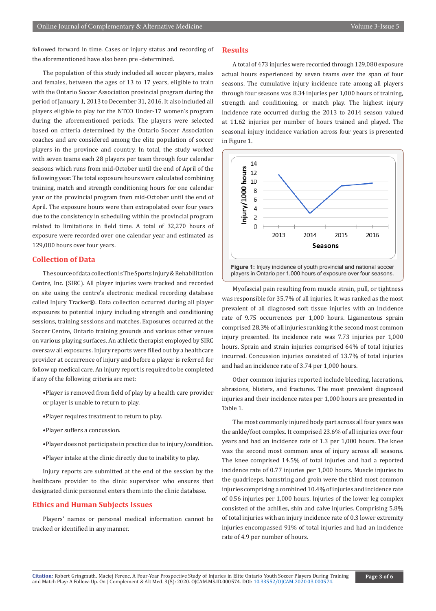followed forward in time. Cases or injury status and recording of the aforementioned have also been pre -determined.

The population of this study included all soccer players, males and females, between the ages of 13 to 17 years, eligible to train with the Ontario Soccer Association provincial program during the period of January 1, 2013 to December 31, 2016. It also included all players eligible to play for the NTCO Under-17 women's program during the aforementioned periods. The players were selected based on criteria determined by the Ontario Soccer Association coaches and are considered among the elite population of soccer players in the province and country. In total, the study worked with seven teams each 28 players per team through four calendar seasons which runs from mid-October until the end of April of the following year. The total exposure hours were calculated combining training, match and strength conditioning hours for one calendar year or the provincial program from mid-October until the end of April. The exposure hours were then extrapolated over four years due to the consistency in scheduling within the provincial program related to limitations in field time. A total of 32,270 hours of exposure were recorded over one calendar year and estimated as 129,080 hours over four years.

#### **Collection of Data**

The source of data collection is The Sports Injury & Rehabilitation Centre, Inc. (SIRC). All player injuries were tracked and recorded on site using the centre's electronic medical recording database called Injury Tracker®. Data collection occurred during all player exposures to potential injury including strength and conditioning sessions, training sessions and matches. Exposures occurred at the Soccer Centre, Ontario training grounds and various other venues on various playing surfaces. An athletic therapist employed by SIRC oversaw all exposures. Injury reports were filled out by a healthcare provider at occurrence of injury and before a player is referred for follow up medical care. An injury report is required to be completed if any of the following criteria are met:

- •Player is removed from field of play by a health care provider or player is unable to return to play.
- •Player requires treatment to return to play.
- •Player suffers a concussion.
- •Player does not participate in practice due to injury/condition.
- •Player intake at the clinic directly due to inability to play.

Injury reports are submitted at the end of the session by the healthcare provider to the clinic supervisor who ensures that designated clinic personnel enters them into the clinic database.

#### **Ethics and Human Subjects Issues**

Players' names or personal medical information cannot be tracked or identified in any manner.

### **Results**

A total of 473 injuries were recorded through 129,080 exposure actual hours experienced by seven teams over the span of four seasons. The cumulative injury incidence rate among all players through four seasons was 8.34 injuries per 1,000 hours of training, strength and conditioning, or match play. The highest injury incidence rate occurred during the 2013 to 2014 season valued at 11.62 injuries per number of hours trained and played. The seasonal injury incidence variation across four years is presented in Figure 1.



Myofascial pain resulting from muscle strain, pull, or tightness was responsible for 35.7% of all injuries. It was ranked as the most prevalent of all diagnosed soft tissue injuries with an incidence rate of 9.75 occurrences per 1,000 hours. Ligamentous sprain comprised 28.3% of all injuries ranking it the second most common injury presented. Its incidence rate was 7.73 injuries per 1,000 hours. Sprain and strain injuries comprised 64% of total injuries incurred. Concussion injuries consisted of 13.7% of total injuries and had an incidence rate of 3.74 per 1,000 hours.

Other common injuries reported include bleeding, lacerations, abrasions, blisters, and fractures. The most prevalent diagnosed injuries and their incidence rates per 1,000 hours are presented in Table 1.

The most commonly injured body part across all four years was the ankle/foot complex. It comprised 23.6% of all injuries over four years and had an incidence rate of 1.3 per 1,000 hours. The knee was the second most common area of injury across all seasons. The knee comprised 14.5% of total injuries and had a reported incidence rate of 0.77 injuries per 1,000 hours. Muscle injuries to the quadriceps, hamstring and groin were the third most common injuries comprising a combined 10.4% of injuries and incidence rate of 0.56 injuries per 1,000 hours. Injuries of the lower leg complex consisted of the achilles, shin and calve injuries. Comprising 5.8% of total injuries with an injury incidence rate of 0.3 lower extremity injuries encompassed 91% of total injuries and had an incidence rate of 4.9 per number of hours.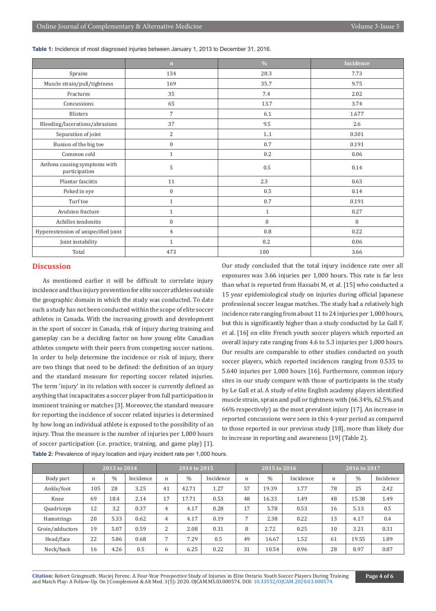**Table 1:** Incidence of most diagnosed injuries between January 1, 2013 to December 31, 2016.

|                                               | n                | $\frac{0}{0}$    | Incidence    |
|-----------------------------------------------|------------------|------------------|--------------|
| Sprains                                       | 134              | 28.3             | 7.73         |
| Muscle strain/pull/tightness                  | 169              | 35.7             | 9.75         |
| Fractures                                     | 35               | 7.4              | 2.02         |
| Concussions                                   | 65               | 13.7             | 3.74         |
| <b>Blisters</b>                               | 7                | 6.1              | 1.677        |
| Bleeding/lacerations/abrasions                | 37               | 9.5              | 2.6          |
| Separation of joint                           | 2                | 1.1              | 0.301        |
| Bunion of the big toe                         | $\boldsymbol{0}$ | 0.7              | 0.191        |
| Common cold                                   | $\mathbf{1}$     | 0.2              | 0.06         |
| Asthma causing symptoms with<br>participation | 5                | $0.5\,$          | 0.14         |
| Plantar fasciitis                             | 11               | 2.3              | 0.63         |
| Poked in eye                                  | $\boldsymbol{0}$ | $0.5\,$          | 0.14         |
| Turf toe                                      | $\mathbf{1}$     | 0.7              | 0.191        |
| Avulsion fracture                             | $\mathbf{1}$     | $\mathbf{1}$     | 0.27         |
| Achilles tendonitis                           | $\boldsymbol{0}$ | $\boldsymbol{0}$ | $\mathbf{0}$ |
| Hyperextension of unspecified joint           | $\overline{4}$   | 0.8              | 0.22         |
| Joint instability                             | 1                | 0.2              | 0.06         |
| Total                                         | 473              | 100              | 3.66         |

# **Discussion**

As mentioned earlier it will be difficult to correlate injury incidence and thus injury prevention for elite soccer athletes outside the geographic domain in which the study was conducted. To date such a study has not been conducted within the scope of elite soccer athletes in Canada. With the increasing growth and development in the sport of soccer in Canada, risk of injury during training and gameplay can be a deciding factor on how young elite Canadian athletes compete with their peers from competing soccer nations. In order to help determine the incidence or risk of injury, there are two things that need to be defined: the definition of an injury and the standard measure for reporting soccer related injuries. The term 'injury' in its relation with soccer is currently defined as anything that incapacitates a soccer player from full participation in imminent training or matches [3]. Moreover, the standard measure for reporting the incidence of soccer related injuries is determined by how long an individual athlete is exposed to the possibility of an injury. Thus the measure is the number of injuries per 1,000 hours of soccer participation (i.e. practice, training, and game play) [1]. Our study concluded that the total injury incidence rate over all exposures was 3.66 injuries per 1,000 hours. This rate is far less than what is reported from Hassabi M, et al. [15] who conducted a 15 year epidemiological study on injuries during official Japanese professional soccer league matches. The study had a relatively high incidence rate ranging from about 11 to 24 injuries per 1,000 hours, but this is significantly higher than a study conducted by Le Gall F, et al. [16] on elite French youth soccer players which reported an overall injury rate ranging from 4.6 to 5.3 injuries per 1,000 hours. Our results are comparable to other studies conducted on youth soccer players, which reported incidences ranging from 0.535 to 5.640 injuries per 1,000 hours [16]. Furthermore, common injury sites in our study compare with those of participants in the study by Le Gall et al. A study of elite English academy players identified muscle strain, sprain and pull or tightness with (66.34%, 62.5% and 66% respectively) as the most prevalent injury [17]. An increase in reported concussions were seen in this 4-year period as compared to those reported in our previous study [18], more than likely due to increase in reporting and awareness [19] (Table 2).

|                   |     | 2013 to 2014 |           | 2014 to 2015   |       |           | 2015 to 2016 |       |           | 2016 to 2017 |       |           |
|-------------------|-----|--------------|-----------|----------------|-------|-----------|--------------|-------|-----------|--------------|-------|-----------|
| Body part         | n   | $\%$         | Incidence | n              | $\%$  | Incidence | $\mathbf n$  | $\%$  | Incidence | n            | $\%$  | Incidence |
| Ankle/foot        | 105 | 28           | 3.25      | 41             | 42.71 | 1.27      | 57           | 19.39 | 1.77      | 78           | 25    | 2.42      |
| Knee              | 69  | 18.4         | 2.14      | 17             | 17.71 | 0.53      | 48           | 16.33 | 1.49      | 48           | 15.38 | 1.49      |
| Quadriceps        | 12  | 3.2          | 0.37      | 4              | 4.17  | 0.28      | 17           | 5.78  | 0.53      | 16           | 5.13  | 0.5       |
| <b>Hamstrings</b> | 20  | 5.33         | 0.62      | 4              | 4.17  | 0.19      | 7            | 2.38  | 0.22      | 13           | 4.17  | 0.4       |
| Groin/adductors   | 19  | 5.07         | 0.59      | $\mathcal{L}$  | 2.08  | 0.31      | 8            | 2.72  | 0.25      | 10           | 3.21  | 0.31      |
| Head/face         | 22  | 5.86         | 0.68      | $\overline{ }$ | 7.29  | 0.5       | 49           | 16.67 | 1.52      | 61           | 19.55 | 1.89      |
| Neck/back         | 16  | 4.26         | 0.5       | 6              | 6.25  | 0.22      | 31           | 10.54 | 0.96      | 28           | 8.97  | 0.87      |

**Table 2:** Prevalence of injury location and injury incident rate per 1,000 hours.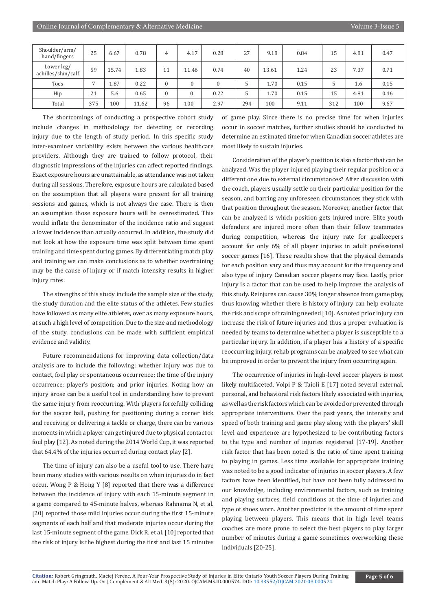| Shoulder/arm/<br>hand/fingers    | 25  | 6.67  | 0.78  | 4  | 4.17         | 0.28         | 27  | 9.18  | 0.84 | 15  | 4.81 | 0.47 |
|----------------------------------|-----|-------|-------|----|--------------|--------------|-----|-------|------|-----|------|------|
| Lower leg/<br>achilles/shin/calf | 59  | 15.74 | 1.83  | 11 | 11.46        | 0.74         | 40  | 13.61 | 1.24 | 23  | 7.37 | 0.71 |
| Toes                             |     | 1.87  | 0.22  | 0  | $\mathbf{0}$ | $\mathbf{0}$ |     | 1.70  | 0.15 |     | 1.6  | 0.15 |
| Hip                              | 21  | 5.6   | 0.65  | 0  | 0.           | 0.22         |     | 1.70  | 0.15 | 15  | 4.81 | 0.46 |
| Total                            | 375 | 100   | 11.62 | 96 | 100          | 2.97         | 294 | 100   | 9.11 | 312 | 100  | 9.67 |

The shortcomings of conducting a prospective cohort study include changes in methodology for detecting or recording injury due to the length of study period. In this specific study inter-examiner variability exists between the various healthcare providers. Although they are trained to follow protocol, their diagnostic impressions of the injuries can affect reported findings. Exact exposure hours are unattainable, as attendance was not taken during all sessions. Therefore, exposure hours are calculated based on the assumption that all players were present for all training sessions and games, which is not always the case. There is then an assumption those exposure hours will be overestimated. This would inflate the denominator of the incidence ratio and suggest a lower incidence than actually occurred. In addition, the study did not look at how the exposure time was split between time spent training and time spent during games. By differentiating match play and training we can make conclusions as to whether overtraining may be the cause of injury or if match intensity results in higher injury rates.

The strengths of this study include the sample size of the study, the study duration and the elite status of the athletes. Few studies have followed as many elite athletes, over as many exposure hours, at such a high level of competition. Due to the size and methodology of the study, conclusions can be made with sufficient empirical evidence and validity.

Future recommendations for improving data collection/data analysis are to include the following: whether injury was due to contact, foul play or spontaneous occurrence; the time of the injury occurrence; player's position; and prior injuries. Noting how an injury arose can be a useful tool in understanding how to prevent the same injury from reoccurring. With players forcefully colliding for the soccer ball, pushing for positioning during a corner kick and receiving or delivering a tackle or charge, there can be various moments in which a player can get injured due to physical contact or foul play [12]. As noted during the 2014 World Cup, it was reported that 64.4% of the injuries occurred during contact play [2].

The time of injury can also be a useful tool to use. There have been many studies with various results on when injuries do in fact occur. Wong P & Hong Y [8] reported that there was a difference between the incidence of injury with each 15-minute segment in a game compared to 45-minute halves, whereas Rahnama N, et al. [20] reported those mild injuries occur during the first 15-minute segments of each half and that moderate injuries occur during the last 15-minute segment of the game. Dick R, et al. [10] reported that the risk of injury is the highest during the first and last 15 minutes

of game play. Since there is no precise time for when injuries occur in soccer matches, further studies should be conducted to determine an estimated time for when Canadian soccer athletes are most likely to sustain injuries.

Consideration of the player's position is also a factor that can be analyzed. Was the player injured playing their regular position or a different one due to external circumstances? After discussion with the coach, players usually settle on their particular position for the season, and barring any unforeseen circumstances they stick with that position throughout the season. Moreover, another factor that can be analyzed is which position gets injured more. Elite youth defenders are injured more often than their fellow teammates during competition, whereas the injury rate for goalkeepers account for only 6% of all player injuries in adult professional soccer games [16]. These results show that the physical demands for each position vary and thus may account for the frequency and also type of injury Canadian soccer players may face. Lastly, prior injury is a factor that can be used to help improve the analysis of this study. Reinjures can cause 30% longer absence from game play, thus knowing whether there is history of injury can help evaluate the risk and scope of training needed [10]. As noted prior injury can increase the risk of future injuries and thus a proper evaluation is needed by teams to determine whether a player is susceptible to a particular injury. In addition, if a player has a history of a specific reoccurring injury, rehab programs can be analyzed to see what can be improved in order to prevent the injury from occurring again.

The occurrence of injuries in high-level soccer players is most likely multifaceted. Volpi P & Taioli E [17] noted several external, personal, and behavioral risk factors likely associated with injuries, as well as the risk factors which can be avoided or prevented through appropriate interventions. Over the past years, the intensity and speed of both training and game play along with the players' skill level and experience are hypothesized to be contributing factors to the type and number of injuries registered [17-19]. Another risk factor that has been noted is the ratio of time spent training to playing in games. Less time available for appropriate training was noted to be a good indicator of injuries in soccer players. A few factors have been identified, but have not been fully addressed to our knowledge, including environmental factors, such as training and playing surfaces, field conditions at the time of injuries and type of shoes worn. Another predictor is the amount of time spent playing between players. This means that in high level teams coaches are more prone to select the best players to play larger number of minutes during a game sometimes overworking these individuals [20-25].